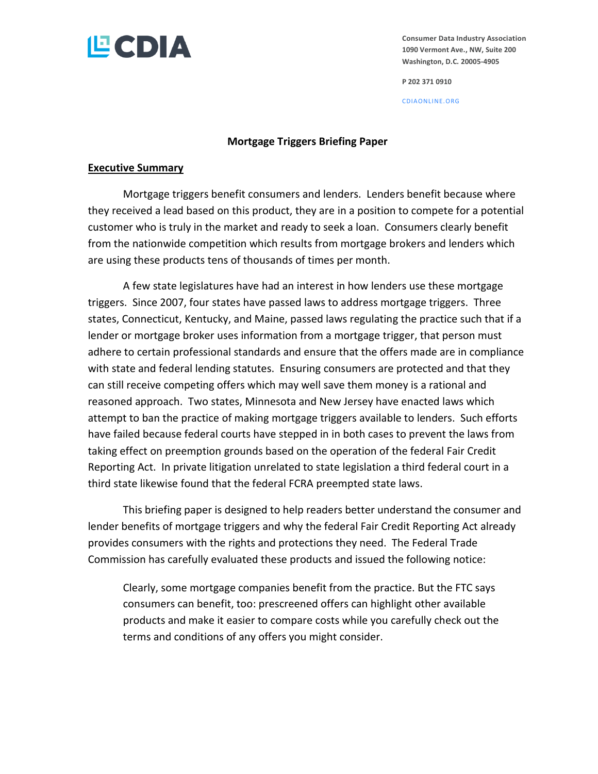

**Consumer Data Industry Association 1090 Vermont Ave., NW, Suite 200 Washington, D.C. 20005-4905**

**P 202 371 0910**

CDIAONLINE.ORG

### **Mortgage Triggers Briefing Paper**

#### **Executive Summary**

Mortgage triggers benefit consumers and lenders. Lenders benefit because where they received a lead based on this product, they are in a position to compete for a potential customer who is truly in the market and ready to seek a loan. Consumers clearly benefit from the nationwide competition which results from mortgage brokers and lenders which are using these products tens of thousands of times per month.

A few state legislatures have had an interest in how lenders use these mortgage triggers. Since 2007, four states have passed laws to address mortgage triggers. Three states, Connecticut, Kentucky, and Maine, passed laws regulating the practice such that if a lender or mortgage broker uses information from a mortgage trigger, that person must adhere to certain professional standards and ensure that the offers made are in compliance with state and federal lending statutes. Ensuring consumers are protected and that they can still receive competing offers which may well save them money is a rational and reasoned approach. Two states, Minnesota and New Jersey have enacted laws which attempt to ban the practice of making mortgage triggers available to lenders. Such efforts have failed because federal courts have stepped in in both cases to prevent the laws from taking effect on preemption grounds based on the operation of the federal Fair Credit Reporting Act. In private litigation unrelated to state legislation a third federal court in a third state likewise found that the federal FCRA preempted state laws.

This briefing paper is designed to help readers better understand the consumer and lender benefits of mortgage triggers and why the federal Fair Credit Reporting Act already provides consumers with the rights and protections they need. The Federal Trade Commission has carefully evaluated these products and issued the following notice:

Clearly, some mortgage companies benefit from the practice. But the FTC says consumers can benefit, too: prescreened offers can highlight other available products and make it easier to compare costs while you carefully check out the terms and conditions of any offers you might consider.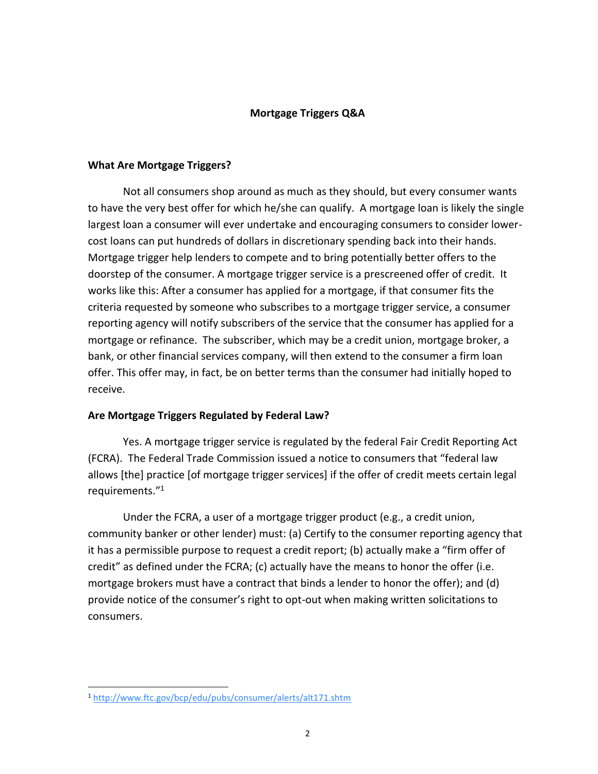## **Mortgage Triggers Q&A**

### **What Are Mortgage Triggers?**

Not all consumers shop around as much as they should, but every consumer wants to have the very best offer for which he/she can qualify. A mortgage loan is likely the single largest loan a consumer will ever undertake and encouraging consumers to consider lowercost loans can put hundreds of dollars in discretionary spending back into their hands. Mortgage trigger help lenders to compete and to bring potentially better offers to the doorstep of the consumer. A mortgage trigger service is a prescreened offer of credit. It works like this: After a consumer has applied for a mortgage, if that consumer fits the criteria requested by someone who subscribes to a mortgage trigger service, a consumer reporting agency will notify subscribers of the service that the consumer has applied for a mortgage or refinance. The subscriber, which may be a credit union, mortgage broker, a bank, or other financial services company, will then extend to the consumer a firm loan offer. This offer may, in fact, be on better terms than the consumer had initially hoped to receive.

## **Are Mortgage Triggers Regulated by Federal Law?**

Yes. A mortgage trigger service is regulated by the federal Fair Credit Reporting Act (FCRA). The Federal Trade Commission issued a notice to consumers that "federal law allows [the] practice [of mortgage trigger services] if the offer of credit meets certain legal requirements."<sup>1</sup>

Under the FCRA, a user of a mortgage trigger product (e.g., a credit union, community banker or other lender) must: (a) Certify to the consumer reporting agency that it has a permissible purpose to request a credit report; (b) actually make a "firm offer of credit" as defined under the FCRA; (c) actually have the means to honor the offer (i.e. mortgage brokers must have a contract that binds a lender to honor the offer); and (d) provide notice of the consumer's right to opt-out when making written solicitations to consumers.

 $\overline{a}$ 

<sup>1</sup> <http://www.ftc.gov/bcp/edu/pubs/consumer/alerts/alt171.shtm>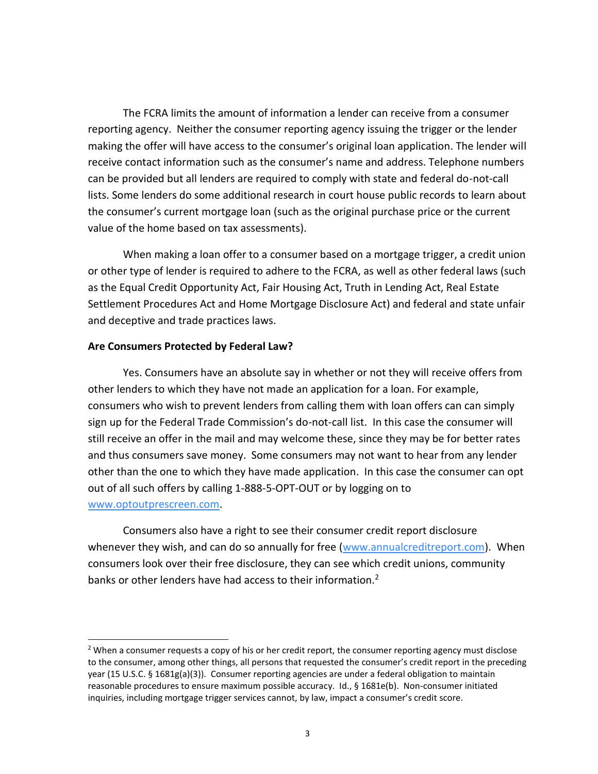The FCRA limits the amount of information a lender can receive from a consumer reporting agency. Neither the consumer reporting agency issuing the trigger or the lender making the offer will have access to the consumer's original loan application. The lender will receive contact information such as the consumer's name and address. Telephone numbers can be provided but all lenders are required to comply with state and federal do-not-call lists. Some lenders do some additional research in court house public records to learn about the consumer's current mortgage loan (such as the original purchase price or the current value of the home based on tax assessments).

When making a loan offer to a consumer based on a mortgage trigger, a credit union or other type of lender is required to adhere to the FCRA, as well as other federal laws (such as the Equal Credit Opportunity Act, Fair Housing Act, Truth in Lending Act, Real Estate Settlement Procedures Act and Home Mortgage Disclosure Act) and federal and state unfair and deceptive and trade practices laws.

# **Are Consumers Protected by Federal Law?**

 $\overline{\phantom{a}}$ 

Yes. Consumers have an absolute say in whether or not they will receive offers from other lenders to which they have not made an application for a loan. For example, consumers who wish to prevent lenders from calling them with loan offers can can simply sign up for the Federal Trade Commission's do-not-call list. In this case the consumer will still receive an offer in the mail and may welcome these, since they may be for better rates and thus consumers save money. Some consumers may not want to hear from any lender other than the one to which they have made application. In this case the consumer can opt out of all such offers by calling 1-888-5-OPT-OUT or by logging on to [www.optoutprescreen.com.](http://www.optoutprescreen.com/)

Consumers also have a right to see their consumer credit report disclosure whenever they wish, and can do so annually for free [\(www.annualcreditreport.com\)](http://www.annualcreditreport.com/). When consumers look over their free disclosure, they can see which credit unions, community banks or other lenders have had access to their information.<sup>2</sup>

<sup>&</sup>lt;sup>2</sup> When a consumer requests a copy of his or her credit report, the consumer reporting agency must disclose to the consumer, among other things, all persons that requested the consumer's credit report in the preceding year (15 U.S.C. § 1681g(a)(3)). Consumer reporting agencies are under a federal obligation to maintain reasonable procedures to ensure maximum possible accuracy. Id., § 1681e(b). Non-consumer initiated inquiries, including mortgage trigger services cannot, by law, impact a consumer's credit score.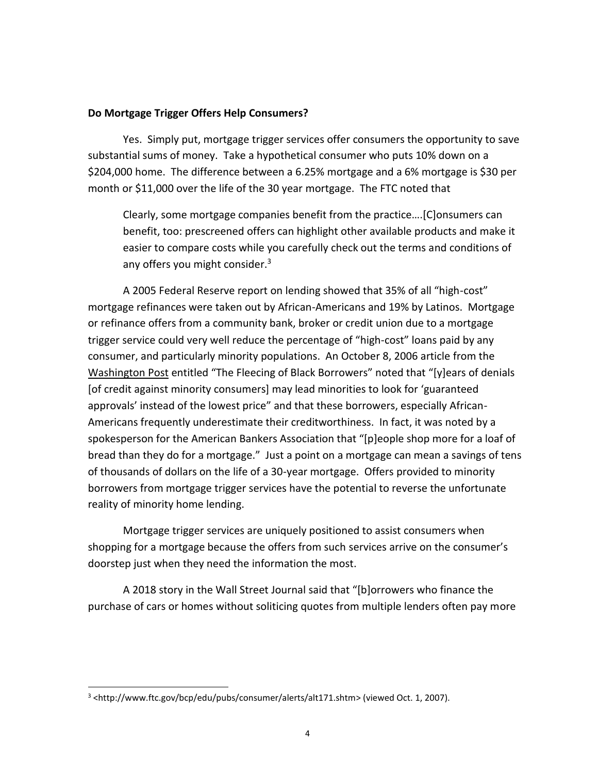## **Do Mortgage Trigger Offers Help Consumers?**

Yes. Simply put, mortgage trigger services offer consumers the opportunity to save substantial sums of money. Take a hypothetical consumer who puts 10% down on a \$204,000 home. The difference between a 6.25% mortgage and a 6% mortgage is \$30 per month or \$11,000 over the life of the 30 year mortgage. The FTC noted that

Clearly, some mortgage companies benefit from the practice….[C]onsumers can benefit, too: prescreened offers can highlight other available products and make it easier to compare costs while you carefully check out the terms and conditions of any offers you might consider.<sup>3</sup>

A 2005 Federal Reserve report on lending showed that 35% of all "high-cost" mortgage refinances were taken out by African-Americans and 19% by Latinos. Mortgage or refinance offers from a community bank, broker or credit union due to a mortgage trigger service could very well reduce the percentage of "high-cost" loans paid by any consumer, and particularly minority populations. An October 8, 2006 article from the Washington Post entitled "The Fleecing of Black Borrowers" noted that "[y]ears of denials [of credit against minority consumers] may lead minorities to look for 'guaranteed approvals' instead of the lowest price" and that these borrowers, especially African-Americans frequently underestimate their creditworthiness. In fact, it was noted by a spokesperson for the American Bankers Association that "[p]eople shop more for a loaf of bread than they do for a mortgage." Just a point on a mortgage can mean a savings of tens of thousands of dollars on the life of a 30-year mortgage. Offers provided to minority borrowers from mortgage trigger services have the potential to reverse the unfortunate reality of minority home lending.

Mortgage trigger services are uniquely positioned to assist consumers when shopping for a mortgage because the offers from such services arrive on the consumer's doorstep just when they need the information the most.

A 2018 story in the Wall Street Journal said that "[b]orrowers who finance the purchase of cars or homes without soliticing quotes from multiple lenders often pay more

 $\overline{a}$ 

<sup>3</sup> <http://www.ftc.gov/bcp/edu/pubs/consumer/alerts/alt171.shtm> (viewed Oct. 1, 2007).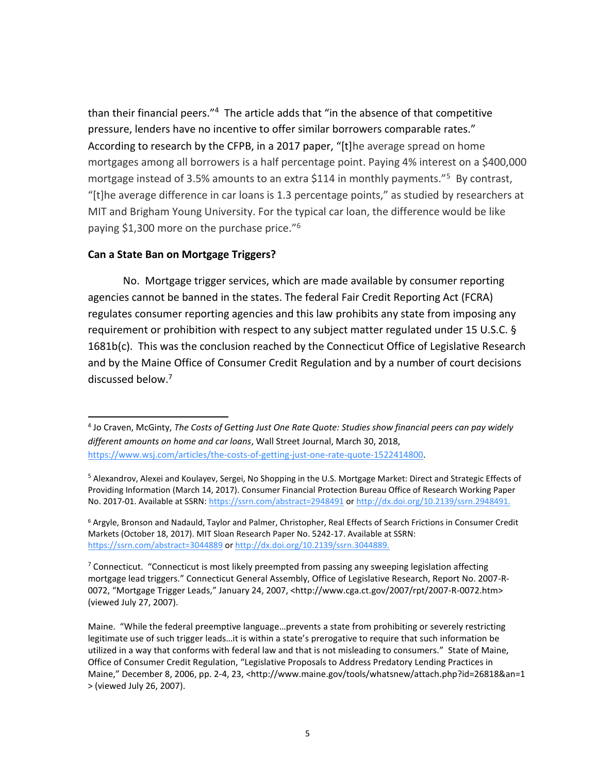than their financial peers."<sup>4</sup> The article adds that "in the absence of that competitive pressure, lenders have no incentive to offer similar borrowers comparable rates." According to research by the CFPB, in a 2017 paper, "[t]he average spread on home mortgages among all borrowers is a half percentage point. Paying 4% interest on a \$400,000 mortgage instead of 3.5% amounts to an extra \$114 in monthly payments."<sup>5</sup> By contrast, "[t]he average difference in car loans is 1.3 percentage points," as studied by researchers at MIT and Brigham Young University. For the typical car loan, the difference would be like paying \$1,300 more on the purchase price."<sup>6</sup>

# **Can a State Ban on Mortgage Triggers?**

 $\overline{\phantom{a}}$ 

No. Mortgage trigger services, which are made available by consumer reporting agencies cannot be banned in the states. The federal Fair Credit Reporting Act (FCRA) regulates consumer reporting agencies and this law prohibits any state from imposing any requirement or prohibition with respect to any subject matter regulated under 15 U.S.C. § 1681b(c). This was the conclusion reached by the Connecticut Office of Legislative Research and by the Maine Office of Consumer Credit Regulation and by a number of court decisions discussed below.<sup>7</sup>

<sup>4</sup> Jo Craven, McGinty, *The Costs of Getting Just One Rate Quote: Studies show financial peers can pay widely different amounts on home and car loans*, Wall Street Journal, March 30, 2018, [https://www.wsj.com/articles/the-costs-of-getting-just-one-rate-quote-1522414800.](https://www.wsj.com/articles/the-costs-of-getting-just-one-rate-quote-1522414800)

<sup>&</sup>lt;sup>5</sup> Alexandrov, Alexei and Koulayev, Sergei, No Shopping in the U.S. Mortgage Market: Direct and Strategic Effects of Providing Information (March 14, 2017). Consumer Financial Protection Bureau Office of Research Working Paper No. 2017-01. Available at SSRN:<https://ssrn.com/abstract=2948491> or<http://dx.doi.org/10.2139/ssrn.2948491.>

<sup>&</sup>lt;sup>6</sup> Argyle, Bronson and Nadauld, Taylor and Palmer, Christopher, Real Effects of Search Frictions in Consumer Credit Markets (October 18, 2017). MIT Sloan Research Paper No. 5242-17. Available at SSRN: <https://ssrn.com/abstract=3044889> or<http://dx.doi.org/10.2139/ssrn.3044889.>

<sup>&</sup>lt;sup>7</sup> Connecticut. "Connecticut is most likely preempted from passing any sweeping legislation affecting mortgage lead triggers." Connecticut General Assembly, Office of Legislative Research, Report No. 2007-R-0072, "Mortgage Trigger Leads," January 24, 2007, <http://www.cga.ct.gov/2007/rpt/2007-R-0072.htm> (viewed July 27, 2007).

Maine. "While the federal preemptive language…prevents a state from prohibiting or severely restricting legitimate use of such trigger leads…it is within a state's prerogative to require that such information be utilized in a way that conforms with federal law and that is not misleading to consumers." State of Maine, Office of Consumer Credit Regulation, "Legislative Proposals to Address Predatory Lending Practices in Maine," December 8, 2006, pp. 2-4, 23, <http://www.maine.gov/tools/whatsnew/attach.php?id=26818&an=1 > (viewed July 26, 2007).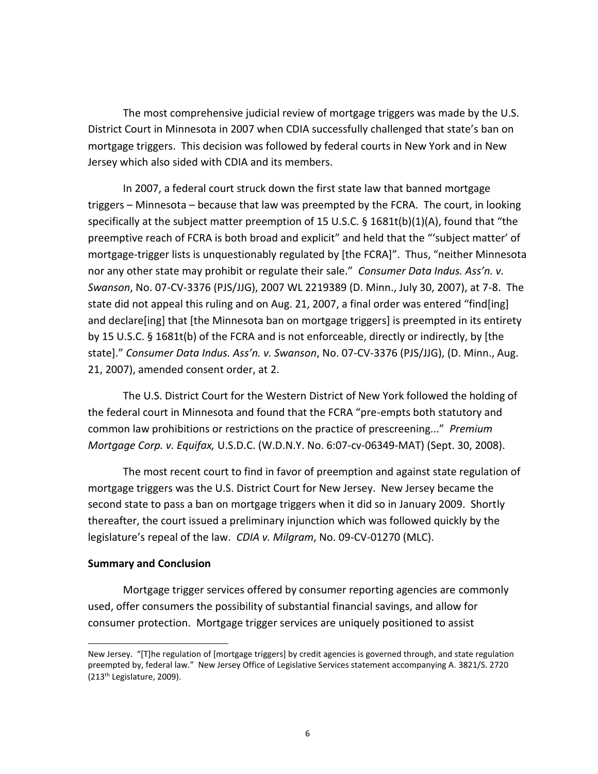The most comprehensive judicial review of mortgage triggers was made by the U.S. District Court in Minnesota in 2007 when CDIA successfully challenged that state's ban on mortgage triggers. This decision was followed by federal courts in New York and in New Jersey which also sided with CDIA and its members.

In 2007, a federal court struck down the first state law that banned mortgage triggers – Minnesota – because that law was preempted by the FCRA. The court, in looking specifically at the subject matter preemption of 15 U.S.C. § 1681t(b)(1)(A), found that "the preemptive reach of FCRA is both broad and explicit" and held that the "'subject matter' of mortgage-trigger lists is unquestionably regulated by [the FCRA]". Thus, "neither Minnesota nor any other state may prohibit or regulate their sale." *Consumer Data Indus. Ass'n. v. Swanson*, No. 07-CV-3376 (PJS/JJG), 2007 WL 2219389 (D. Minn., July 30, 2007), at 7-8. The state did not appeal this ruling and on Aug. 21, 2007, a final order was entered "find[ing] and declare[ing] that [the Minnesota ban on mortgage triggers] is preempted in its entirety by 15 U.S.C. § 1681t(b) of the FCRA and is not enforceable, directly or indirectly, by [the state]." *Consumer Data Indus. Ass'n. v. Swanson*, No. 07-CV-3376 (PJS/JJG), (D. Minn., Aug. 21, 2007), amended consent order, at 2.

The U.S. District Court for the Western District of New York followed the holding of the federal court in Minnesota and found that the FCRA "pre-empts both statutory and common law prohibitions or restrictions on the practice of prescreening..." *Premium Mortgage Corp. v. Equifax,* U.S.D.C. (W.D.N.Y. No. 6:07-cv-06349-MAT) (Sept. 30, 2008).

The most recent court to find in favor of preemption and against state regulation of mortgage triggers was the U.S. District Court for New Jersey. New Jersey became the second state to pass a ban on mortgage triggers when it did so in January 2009. Shortly thereafter, the court issued a preliminary injunction which was followed quickly by the legislature's repeal of the law. *CDIA v. Milgram*, No. 09-CV-01270 (MLC).

## **Summary and Conclusion**

 $\overline{\phantom{a}}$ 

Mortgage trigger services offered by consumer reporting agencies are commonly used, offer consumers the possibility of substantial financial savings, and allow for consumer protection. Mortgage trigger services are uniquely positioned to assist

New Jersey. "[T]he regulation of [mortgage triggers] by credit agencies is governed through, and state regulation preempted by, federal law." New Jersey Office of Legislative Services statement accompanying A. 3821/S. 2720 (213th Legislature, 2009).